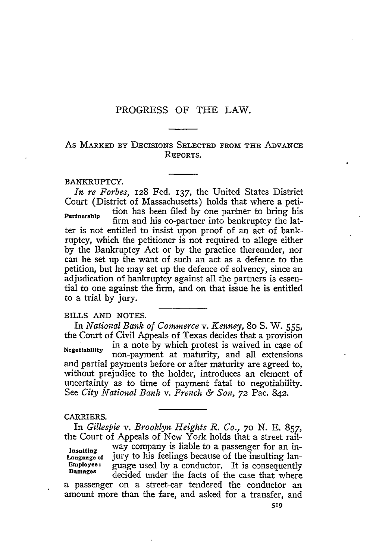# PROGRESS OF THE LAW.

# As MARKED BY DECISIONS SELECTED FROM THE ADVANCE REPORTS.

## BANKRUPTCY.

*In re Forbes,* 128 Fed. 137, the United States District Court (District of Massachusetts) holds that where a petition has been filed by one partner to bring his Partnership **Figure 11.1** firm and his co-partner into bankruptcy the latter is not entitled to insist upon proof of an act of bankruptcy, which the petitioner is not required to allege either by the Bankruptcy Act or by the practice thereunder, nor can he set up the want of such an act as a defence to the petition, but he may set up the defence of solvency, since an adjudication of bankruptcy against all the partners is essential to one against the firm, and on that issue he is entitled to a trial by jury.

## BILLS AND NOTES.

In *National Bank of Commerce v. Kenney,* 8o S. W. 555, the Court of Civil Appeals of Texas decides that a provision in a note by which protest is waived in case of **Negotiability** non-payment at maturity, and all extensions and partial payments before or after maturity are agreed to, without prejudice to the holder, introduces an element of uncertainty as to time of payment fatal to negotiability. See *City National Bank v. French & Son,* **72** Pac. 842.

#### CARRIERS.

*In Gillespie v. Brooklyn Heights R. Co., 70* N. **E.** 857, the Court of Appeals of New York holds that a street rail**insulting** way company is liable to a passenger for an in-**Language** of jury to his feelings because of the insulting lan-**Employee:** guage used by a conductor. It is consequently Damages decided under the facts of the case that where a passenger on a street-car tendered the conductor an amount more than the fare, and asked for a transfer, and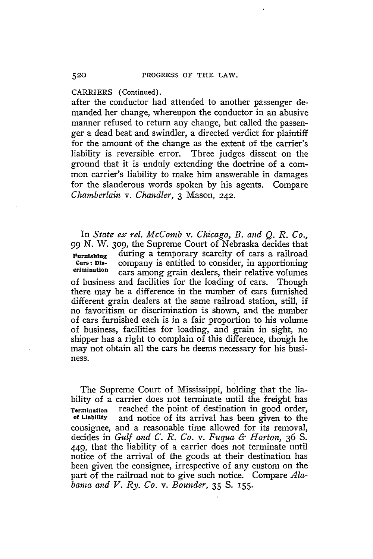CARRIERS (Continued).

after the conductor had attended to another passenger demanded her change, whereupon the conductor in an abusive manner refused to return any change, but called the passenger a dead beat and swindler, a directed verdict for plaintiff for the amount of the change as the extent of the carrier's liability is reversible error. Three judges dissent on the ground that it is unduly extending the doctrine of a common carrier's liability to make him answerable in damages for the slanderous words spoken by his agents. Compare *Chamberlain v. Chandler,* 3 Mason, 242.

In *State ex rel. McComb v. Chicago, B. and* Q. *R. Co., 99* N. W. **309,** the Supreme Court of Nebraska decides that Furnishing during a temporary scarcity of cars a railroad Cars: Dis-<br>Cars: Dis- company is entitled to consider, in apportioning **Cars:** Dis- company is entitled to consider, in apportioning **crimination** cars among grain dealers, their relative volumes of business and facilities for the loading of cars. Though there may be a difference in the number of cars furnished different grain dealers at the same railroad station, still, if no favoritism or discrimination is shown, and the number of cars furnished each is in a fair proportion to his volume of business, facilities for loading, and grain in sight, no shipper has a right to complain of this difference, though he may not obtain all the cars he deems necessary for his business.

The Supreme Court of Mississippi, holding that the liability of a carrier does not terminate until the freight has **Termination** reached the point of destination in good order, and notice of its arrival has been given to the consignee, and a reasonable time allowed for its removal, decides in *Gulf and C. R. Co. v. Fuqua & Horton,* 36 S. 449, that the liability of a carrier does not terminate until notice of the arrival of the goods at their destination has been given the consignee, irrespective of any custom on the part of the railroad not to give such notice. Compare *Alabama and V. Ry. Co. v. Bounder,* 35 **S.** 155.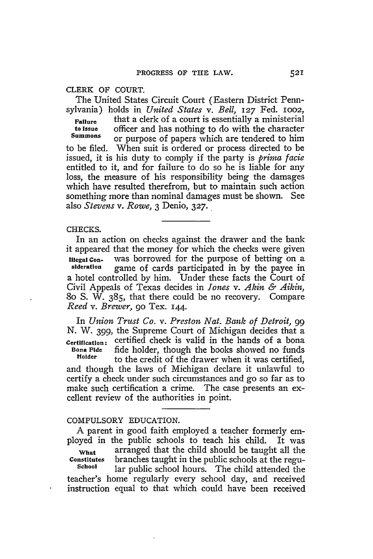# CLERK OF **COURT.**

The United States Circuit Court (Eastern District Pennsylvania) holds in *United States v. Bell, 127* Fed. ioo2,

**Failure** that a clerk of a court is essentially a ministerial **to Issue** officer and has nothing to do with the character or purpose of papers which are tendered to him to be filed. When suit is ordered or process directed to be issued, it is his duty to comply if the party is *prima facie* entitled to it, and for failure to do so he is liable for any loss, the measure of his responsibility being the damages which have resulted therefrom, but to maintain such action something more than nominal damages must be shown. See also *Stevens v. Rowe,* 3 Denio, *327.*

#### **CHECKS.**

In an action on checks against the drawer and the bank it appeared that the money for which the checks were given **Illegal Con-** was borrowed for the purpose of betting on a sideration came of cards participated in by the payer in game of cards participated in by the payee in a hotel controlled by him. Under these facts the Court of Civil Appeals of Texas decides in *Jones v. Akin & Aikin,* **80** S. W. 385, that there could be no recovery. Compare *Reed v. Brewer,* **90** Tex. 144.

In *Union Trust Co. v. Preston Nat. Bank of Detroit, 99 N. W.* 399, the Supreme Court of Michigan decides that a **Certification:** certified check is valid in the hands of a bona **Bona Fide** fide holder, though the books showed no funds<br> **Holder** to the anglit of the drawing when it was contified to the credit of the drawer when it was certified, and though the laws of Michigan declare it unlawful to certify a check under such circumstances and go so far as to make such certification a crime. The case presents an excellent review of the authorities in point.

# COMPULSORY **EDUCATION.**

A parent in good faith employed a teacher formerly employed in the public schools to teach his child. It was **What** arranged that the child should be taught all the constitutes branches taught in the public schools at the regu-**Constitutes** branches taught in the public schools at the regular public school hours. The child attended the teacher's home regularly every school day, and received instruction equal to that which could have been received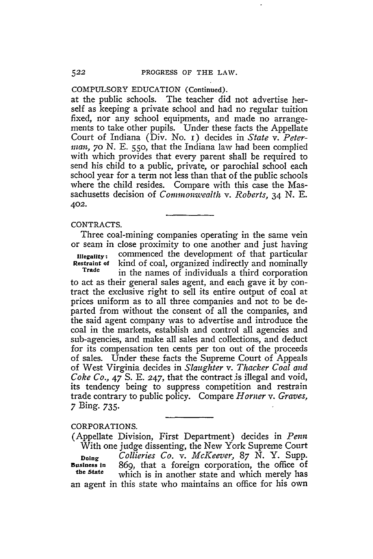## COMPULSORY EDUCATION (Continued).

at the public schools. The teacher did not advertise herself as keeping a private school and had no regular tuition fixed, nor any school equipments, and made no arrangements to take other pupils. Under these facts the Appellate Court of Indiana (Div. No. i) decides in *State v. Peterman, 70 N. E.* 550, that the Indiana law had been complied with which provides that every parent shall be required to send his child to a public, private, or parochial school each school year for a term not less than that of the public schools where the child resides. Compare with this case the Massachusetts decision of *Connmonwvealth v. Roberts,* 34 **N. E.** 402.

#### CONTRACTS.

Three coal-mining companies operating in the same vein or seam in close proximity to one another and just having **Illegality:** commenced the development of that particular<br>**Restraint of** kind of coal, organized indirectly and nominally Restraint of kind of coal, organized indirectly and nominally **Trade** in the names of individuals a third corporation

to act as their general sales agent, and each gave it **by** contract the exclusive right to sell its entire output of coal at prices uniform as to all three companies and not to be departed from without the consent of all the companies, and the said agent company was to advertise and introduce the coal in the markets, establish and control all agencies and sub-agencies, and make all sales and collections, and deduct for its compensation ten cents per ton out of the proceeds of sales. Under these facts the Supreme Court of Appeals of West Virginia decides in *Slaughter v. Thacker Coal and Coke Co., 47* S. **E.** 247, that the contract is illegal and void, its tendency being to suppress competition and restrain trade contrary to public policy. Compare *Homer v. Graves,* **7** Bing. **735-**

# CORPORATIONS.

(Appellate Division, First Department) decides in *Penn* With one judge dissenting, the New York Supreme Court **Doing** *Collieries Co. v. McKeever, 87* N. Y. Supp. Business in 869, that a foreign corporation, the office of **the State** which is in another state and which merely has an agent in this state who maintains an office for his own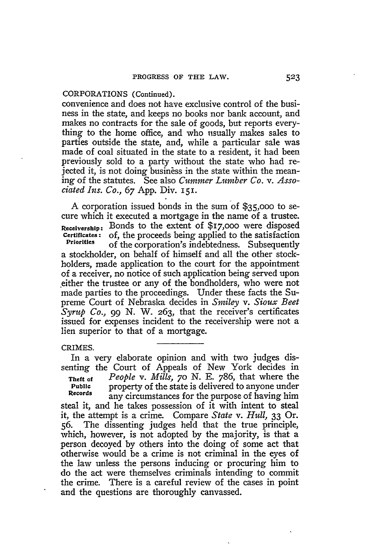# CORPORATIONS (Continued).

convenience and does not have exclusive control of the business in the state, and keeps no books nor bank account, and makes no contracts for the sale of goods, but reports everything to the home office, and who uisually makes sales to parties outside the state, and, while a particular sale was made of coal situated in the state to a resident, it had been previously sold to a party without the state who had rejected it, is not doing business in the state within the meaning of the statutes. See also *Cummer Lumber Co. v. Associated Ins. Co., 67* App. Div. 151.

A corporation issued bonds in the sum of **\$35,000** to secure which it executed a mortgage in the name of a trustee. **Receivership:** Bonds to the extent of \$I7,OOO were disposed **Certificates:** of, the proceeds being applied to the satisfaction of the corporation's indebtedness. Subsequently a stockholder, on behalf of himself and all the other stockholders, made application to the court for the appointment of a receiver, no notice of such application being served upon .either the trustee or any of the bondholders, who were not made parties to the proceedings. Under these facts the Supreme Court of Nebraska decides in *Smiley v. Sioux Beet Syrup Co.,* 99 N. W. 263, that the receiver's certificates issued for expenses incident to the receivership were not a lien superior to that of a mortgage.

### CRIMES.

In a very elaborate opinion and with two judges dissenting the Court of Appeals of New York decides in **Theft of** *People v. Mills, 70* **N. E.** 786, that where the **Public** property of the state is delivered to anyone under<br>Records any circumstances for the numbers of having him any circumstances for the purpose of having him steal it, and he takes possession of it with intent to steal it, the attempt is a crime. Compare *State v. Hull,* 33 Or. **56.** The dissenting judges held that the true principle, which, however, is not adopted **by** the majority, is that a person decoyed **by** others into the doing of some act that otherwise would be a crime is not criminal in the eyes of the law unless the persons inducing or procuring him to do the act were themselves criminals intending to commit the crime. There is a careful review of the cases in point and the questions are thoroughly canvassed.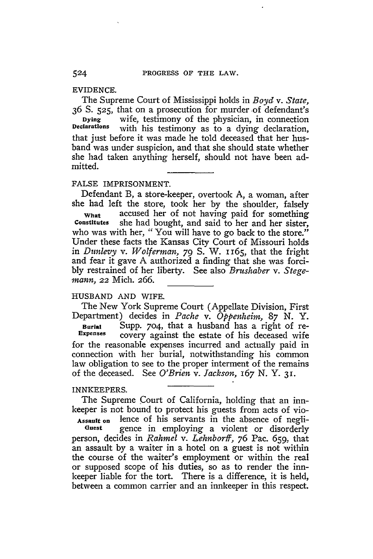## EVIDENCE.

The Supreme Court of Mississippi holds in *Boyd v. State,* 36 **S. 525,** that on a prosecution for murder .of defendant's Dying wife, testimony of the physician, in connection<br>Declarations with his testimony as to a dying declaration with his testimony as to a dying declaration, that just before it was made he told deceased that her husband was under suspicion, and that she should state whether she had taken anything herself, should not have been admitted.

# FALSE IMPRISONMENT.

Defendant B, a store-keeper, overtook A, a woman, after she had left the store, took her **by** the shoulder, falsely

**What** accused her of not having paid for something **Constitutes** she had bought, and said to her and her sister, who was with her, "You will have to go back to the store." Under these facts the Kansas City Court of Missouri holds in *Dunlevy v. Wolferman,* **79 S.** W. 1165, that the fright and fear it gave A authorized a finding that she was forci**bly** restrained of her liberty. See also *Brushaber v. Stegemann,* 22 Mich. 266.

## HUSBAND AND WIFE.

The New York Supreme Court (Appellate Division, First Department) decides in *Pache v. Oppenheim, 87 N.* Y. **Burial** Supp. 704, that a husband has a right of re-<br>**Expenses** covery against the estate of his deceased wife covery against the estate of his deceased wife for the reasonable expenses incurred and actually paid in connection with her burial, notwithstanding his common law obligation to see to the proper interment of the remains of the deceased. See *O'Brien v. Jackson,* 167 **N. Y. 31.**

#### INNKEEPERS.

The Supreme Court of California, holding that an innkeeper is not bound to protect his guests from acts of vio-

Assault **on** lence of his servants in the absence of negli**uest** gence in employing a violent or disorderly person, decides in *Rahmel v. Lehnborff, 76* Pac. 659, that an assault **by** a waiter in a hotel on a guest is not within the course of the waiter's employment or within the real or supposed scope of his duties, so as to render the innkeeper liable for the tort. There is a difference, it is held, between a common carrier and an innkeeper in this respect.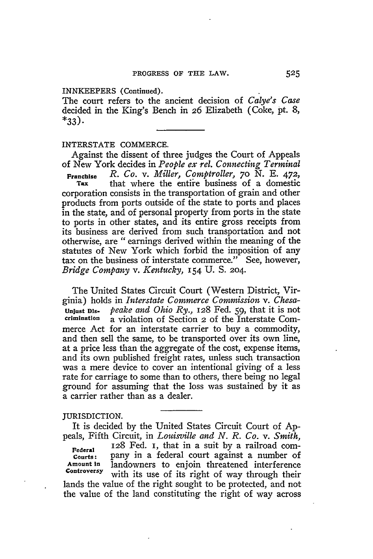### INNKEEPERS (Continued).

The court refers to the ancient decision of *Calye's Case* decided in the King's Bench in *26* Elizabeth (Coke, pt. 8,  $*33$ .

### INTERSTATE COMMERCE.

Against the dissent of three judges the Court of Appeals of New York decides in *People ex rel. Connecting Terminal*

**Franchise** *R. Co. v. Miller, Comptroller, 70* N. E. 472, that where the entire business of a domestic corporation consists in the transportation of grain and other products from ports outside of the state to ports and places in the state, and of personal property from ports in the state to ports in other states, and its entire gross receipts from its business are derived from such transportation and not otherwise, are "earnings derived within the meaning of the statutes of New York which forbid the imposition of any tax on the business of interstate commerce." See, however, *Bridge Company v. Kentucky,* 154 U. S. 204.

The United States Circuit Court (Western District, Virginia) holds in *Interstate Commerce Commission v. Chesa***unjust Dis-** *peake and Ohio Ry.*, 128 Fed. 59, that it is not crimination a violation of Section 2 of the Interstate Com**crimination** a violation of Section 2 of the Interstate Commerce Act for an interstate carrier to buy a commodity, and then sell the same, to be transported over its own line, at a price less than the aggregate of the cost, expense items, and its own published freight rates, unless such transaction was a mere device to cover an intentional giving of a less rate for carriage to some than to others, there being no legal ground for assuming that the loss was sustained by it as a carrier rather than as a dealer.

### JURISDICTION.

It is decided by the United States Circuit Court of Appeals, Fifth Circuit, in *Louisville and N. R. Co. v. Smith,*

**Federal 128** Fed. i, that in a suit by a railroad com-Courts: pany in a federal court against a number of<br>Amount in landowners to enjoin threatened interference landowners to enjoin threatened interference **Controversy** with its use of its right of way through their lands the value of the right sought to be protected, and not the value of the land constituting the right of way across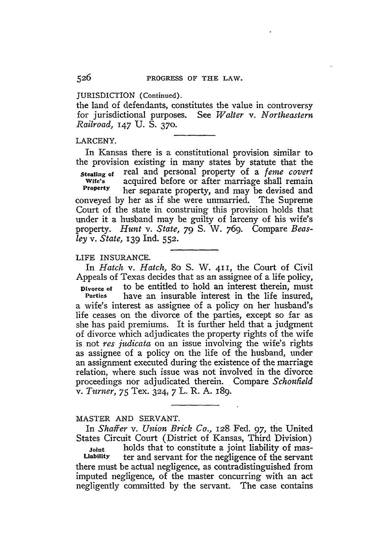JURISDICTION (Continued).

the land of defendants, constitutes the value in controversy for jurisdictional purposes. See *Walter v. Northeastern Railroad,* 147 U. **S. 370.**

#### LARCENY.

In Kansas there is a constitutional provision similar to the provision existing in many states by statute that the

**stealing of** real and personal property of a *ferne covert* Wife's acquired before or after marriage shall remain<br>Property her separate property and may be devised and **Property** her separate property, and may be devised and conveyed **by** her as if she were unmarried. The Supreme Court of the state in construing this provision holds that under it a husband may be guilty of larceny of his wife's property. *Hunt* v. *State, 79* **S.** W. 769. Compare *Beasley v. State,* 139 Ind. **552.**

LIFE INSURANCE.

In *Hatch v. Hatch,* 8o **S.** W. **411,** the Court of Civil Appeals of Texas decides that as an assignee of a life policy, **Divorce of** to be entitled to hold an interest therein, must<br>**Parties** have an insurable interest in the life insured have an insurable interest in the life insured, a wife's interest as assignee of a policy on her husband's life ceases on the divorce of the parties, except so far as she has paid premiums. It is further held that a judgment of divorce which adjudicates the property rights of the wife is not *res judicata* on an issue involving the wife's rights as assignee of a policy on the life of the husband, under an assignment executed during the existence of the marriage relation, where such issue was not involved in the divorce proceedings nor adjudicated therein. Compare *Schonfield v. Turner,* 75 Tex. 324, 7 L. R. **A.** 189.

#### MASTER AND SERVANT.

In *Shaffer v. Union Brick Co.,* **128** Fed. 97, the United States Circuit Court (District of Kansas, Third Division)

**Joint holds that to constitute a joint liability of mas-**<br>Liability ter and servant for the negligence of the servant **Liability** ter and servant for the negligence of the servant there must be actual negligence, as contradistinguished from imputed negligence, of the master concurring with an act negligently committed by the servant. The case contains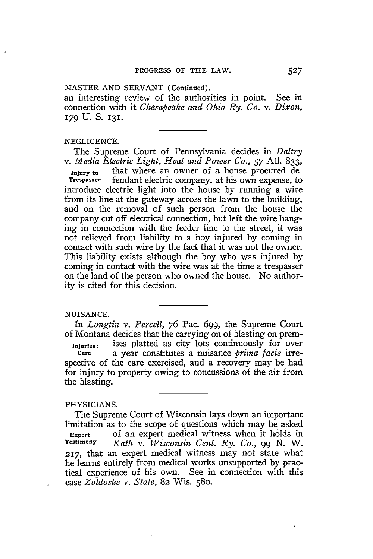### MASTER AND SERVANT (Continued).

an interesting review of the authorities in point. See in connection with it *Chesapeake and Ohio Ry. Co. v. Dixon,* 179 **U. S.** 131.

## NEGLIGENCE.

The Supreme Court of Pennsylvania decides in *Daltry v. Media Electric Light, Heat and Power Co.,* **57** Atl. 833,

Injury to that where an owner of a house procured de-<br>Trespasser fendant electric company, at his own expense, to fendant electric company, at his own expense, to introduce electric light into the house by running a wire from its line at the gateway across the lawn to the building, and on the removal of such person from the house the company cut off electrical connection, but **left** the wire hanging in connection with the feeder line to the street, it was not relieved from liability to a boy injured by coming in contact with such wire by the fact that it was not the owner. This liability exists although the boy who was injured by coming in contact with the wire was at the time a trespasser on the land of the person who owned the house. No authority is cited for this decision.

## NUISANCE.

In *Longtin v. Percell, 76* Pac. 699, the Supreme Court of Montana decides that the carrying on of blasting on prem-**Injuries:** ises platted as city lots continuously for over **Care** a year constitutes a nuisance *prima facie* irrespective of the care exercised, and a recovery may be had for injury to property owing to concussions of the air from the blasting.

#### PHYSICIANS.

The Supreme Court of Wisconsin lays down an important limitation as to the scope of questions which may be asked **Expert** of an expert medical witness when it holds in **Testimony** *Kath v. Wisconsin Cent. Ry. Co., 99* N. W. 217, that an expert medical witness may not state what he learns entirely from medical works unsupported by practical experience of his own. See in connection with this case *Zoldoske v. State,* 82 Wis. **580.**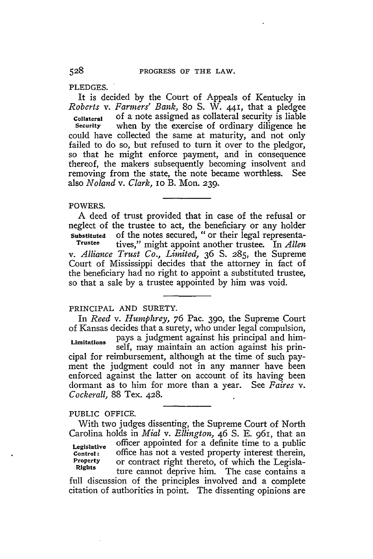PLEDGES.

It is decided by the Court of Appeals of Kentucky in *Roberts v. Farmers' Bank,* 8o **S.** W. 441, that a pledgee **Collateral** of a note assigned as collateral security is liable when by the exercise of ordinary diligence he could have collected the same at maturity, and not only failed to do so, but refused to turn it over to the pledgor, so that he might enforce payment, and in consequence thereof, the makers subsequently becoming insolvent and removing from the state, the note became worthless. See also *Noland v. Clark,* io B. Mon. 239.

## POWERS.

A deed of trust provided that in case of the refusal or neglect of the trustee to act, the beneficiary or any holder **Substituted** of the notes secured, "or their legal representa-<br> **Trustee** tives " might appoint another trustee In Allen **Trustee** tives," might appoint another trustee. In *Allen v. Alliance Trust Co., Limited,* 36 **S.** 285, the Supreme Court of Mississippi decides that the attorney in fact of the beneficiary had no right to appoint a substituted trustee, so that a sale **by** a trustee appointed **by** him was void.

## PRINCIPAL AND SURETY.

In *Reed v. Humphrey,* 76 Pac. 390, the Supreme Court of Kansas decides that a surety, who under legal compulsion, **Limitations** pays a judgment against his principal and himself, may maintain an action against his principal for reimbursement, although at the time of such payment the judgment could not in any manner have been enforced against the latter on account of its having been dormant as to him for more than a year. See *Faires v. Cockerall,* 88 Tex. 428.

### PUBLIC OFFICE.

With two judges dissenting, the Supreme Court of North Carolina holds in *Mial v. Ellington,* 46 **S. E.** 961, that an **Legislative** officer appointed for a definite time to a public **Control:** office has not a vested property interest therein, Property or contract right thereto, of which the Legisla-**Rights** ture cannot deprive him. The case contains a ture cannot deprive him. The case contains a full discussion of the principles involved and a complete citation of authorities in point. The dissenting opinions are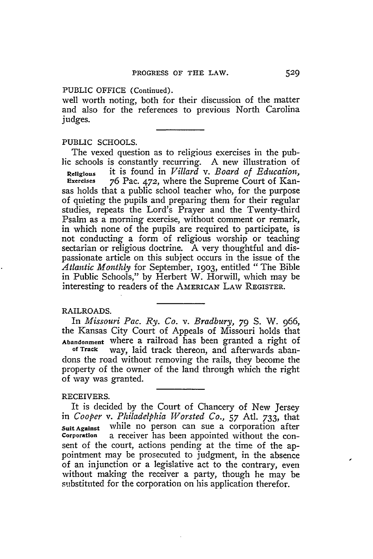PUBLIC OFFICE (Continued).

well worth noting, both for their discussion of the matter and also for the references to previous North Carolina judges.

PUBLIC SCHOOLS.

The vexed question as to religious exercises in the public schools is constantly recurring. A new illustration of

**Religious** it is found in *Villard v. Board of Education,* **Exercises** 76 Pac. 472, where the Supreme Court of Kansas holds that a public school teacher who, for the purpose of quieting the pupils and preparing them for their regular studies, repeats the Lord's Prayer and the Twenty-third Psalm as a morning exercise, without comment or remark, in which none of the pupils are required to participate, is not conducting a form of religious worship or teaching sectarian or religious doctrine. A very thoughtful and dispassionate article on this subject occurs in the issue of the *Atlantic Monthly* for September, 1903, entitled "The Bible in Public Schools," **by** Herbert W. Horwill, which may be interesting to readers of the **AMERICAN** LAW REGISTER.

# RAILROADS.

In *Missouri Pac. Ry. Co. v. Bradbury, 79* **S.** W. 966, the Kansas City Court of Appeals of Missouri holds that **Abandonment** where a railroad has been granted a right of of **Track** way, laid track thereon, and afterwards abandons the road without removing the rails, they become the property of the owner of the land through which the right of way was granted.

# RECEIVERS.

It is decided **by** the Court of Chancery of New Jersey in *Cooper v. Philadelphia Worsted Co.,* **57** At. 733, that suit Against while no person can sue a corporation after<br>Corporation a receiver has been appointed without the cona receiver has been appointed without the consent of the court, actions pending at the time of the appointment may be prosecuted to judgment, in the absence of an injunction or a legislative act to the contrary, even without making the receiver a party, though he may be substituted for the corporation on his application therefor.